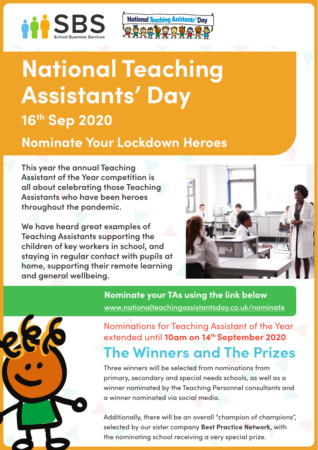



# **National Teaching Assistants' Day 16th Sep 2020**

# **Nominate Your Lockdown Heroes**

**This year the annual Teaching Assistant of the Year competition is all about celebrating those Teaching Assistants who have been heroes throughout the pandemic.** 

**We have heard great examples of Teaching Assistants supporting the children of key workers in school, and staying in regular contact with pupils at home, supporting their remote learning and general wellbeing.**



**Nominate your TAs using the link below**  [www.nationalteachingassistantsday.co.uk/nominate](http://www.nationalteachingassistantsday.co.uk/nominate)

## **The Winners and The Prizes** Nominations for Teaching Assistant of the Year extended until **10am on 14th September 2020**

Three winners will be selected from nominations from primary, secondary and special needs schools, as well as a winner nominated by the Teaching Personnel consultants and a winner nominated via social media.

Additionally, there will be an overall "champion of champions", selected by our sister company **Best Practice Network**, with the nominating school receiving a very special prize.